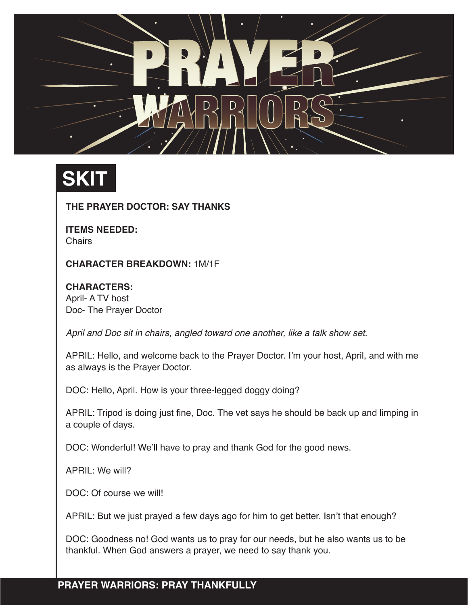

## **SKIT**

**THE PRAYER DOCTOR: SAY THANKS**

**ITEMS NEEDED: Chairs** 

**CHARACTER BREAKDOWN:** 1M/1F

**CHARACTERS:**  April- A TV host Doc- The Prayer Doctor

*April and Doc sit in chairs, angled toward one another, like a talk show set.* 

APRIL: Hello, and welcome back to the Prayer Doctor. I'm your host, April, and with me as always is the Prayer Doctor.

DOC: Hello, April. How is your three-legged doggy doing?

APRIL: Tripod is doing just fine, Doc. The vet says he should be back up and limping in a couple of days.

DOC: Wonderful! We'll have to pray and thank God for the good news.

APRIL: We will?

DOC: Of course we will!

APRIL: But we just prayed a few days ago for him to get better. Isn't that enough?

DOC: Goodness no! God wants us to pray for our needs, but he also wants us to be thankful. When God answers a prayer, we need to say thank you.

## **PRAYER WARRIORS: PRAY THANKFULLY**